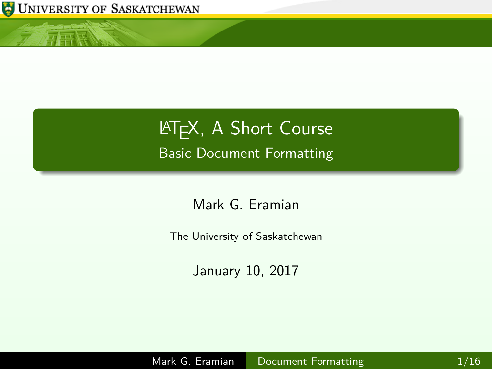

<span id="page-0-0"></span> $\sqrt{1+|{\bf k}|}$ 

# **LATEX, A Short Course** Basic Document Formatting

Mark G. Eramian

The University of Saskatchewan

January 10, 2017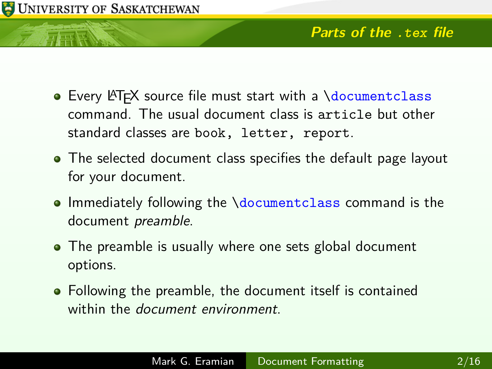

- Every LATEX source file must start with a *\documentclass* command. The usual document class is article but other standard classes are book, letter, report.
- The selected document class specifies the default page layout for your document.
- Immediately following the \documentclass command is the document preamble.
- The preamble is usually where one sets global document options.
- Following the preamble, the document itself is contained within the *document environment*.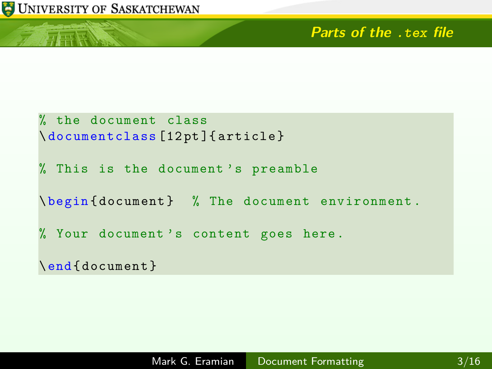元天区

#### **Parts of the .tex file**

```
% the document class
\ documentclass [12 pt ]{ article }
% This is the document 's preamble
\ begin { document } % The document environment .
% Your document 's content goes here .
\end{ document }
```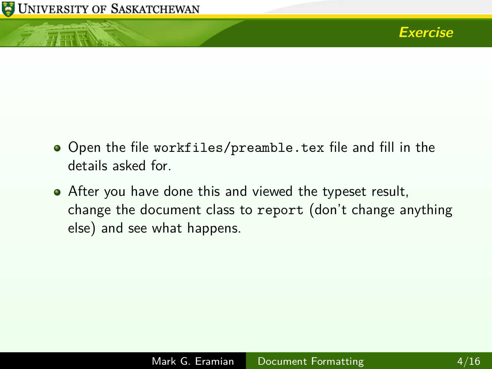**ATTER NEWS** 



- Open the file workfiles/preamble.tex file and fill in the details asked for.
- After you have done this and viewed the typeset result, change the document class to report (don't change anything else) and see what happens.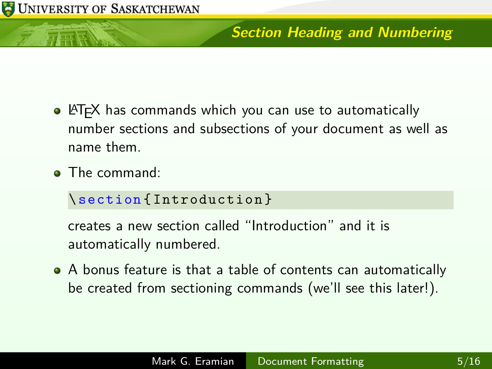# **Section Heading and Numbering**

- LATEX has commands which you can use to automatically number sections and subsections of your document as well as name them.
- **•** The command:

#### \ section { Introduction }

creates a new section called "Introduction" and it is automatically numbered.

A bonus feature is that a table of contents can automatically be created from sectioning commands (we'll see this later!).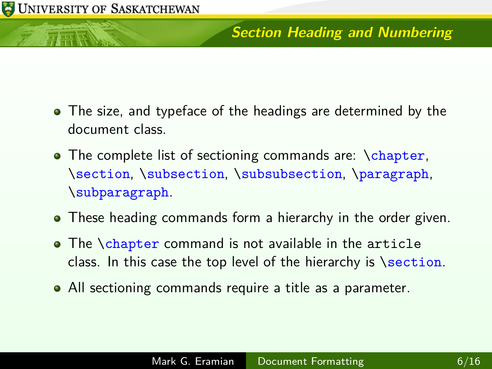### **Section Heading and Numbering**

- The size, and typeface of the headings are determined by the document class.
- The complete list of sectioning commands are: \chapter, \section, \subsection, \subsubsection, \paragraph, \subparagraph.
- These heading commands form a hierarchy in the order given.
- The \chapter command is not available in the article class. In this case the top level of the hierarchy is \section.
- All sectioning commands require a title as a parameter.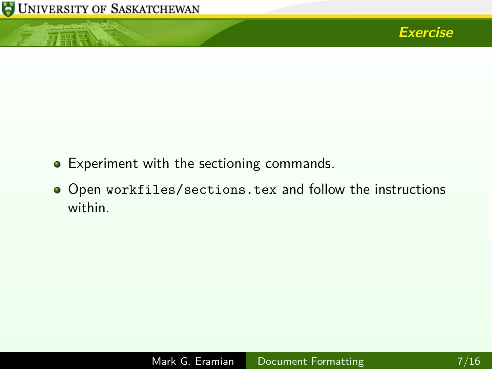

小母怪



- Experiment with the sectioning commands.
- Open workfiles/sections.tex and follow the instructions within.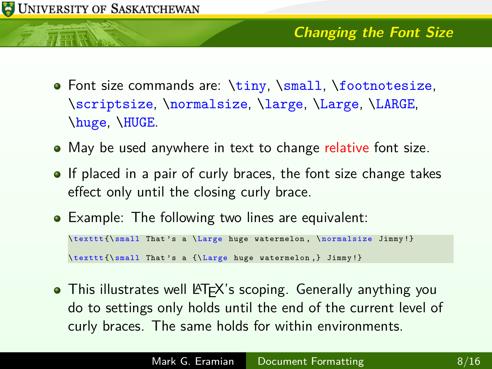- Font size commands are: \tiny, \small, \footnotesize, \scriptsize, \normalsize, \large, \Large, \LARGE, \huge, \HUGE.
- May be used anywhere in text to change relative font size.
- **If placed in a pair of curly braces, the font size change takes** effect only until the closing curly brace.
- Example: The following two lines are equivalent:

```
\ texttt {\ small That 's a \ Large huge watermelon , \ normalsize Jimmy !}
\ texttt {\ small That 's a {\ Large huge watermelon ,} Jimmy !}
```
• This illustrates well LATEX's scoping. Generally anything you do to settings only holds until the end of the current level of curly braces. The same holds for within environments.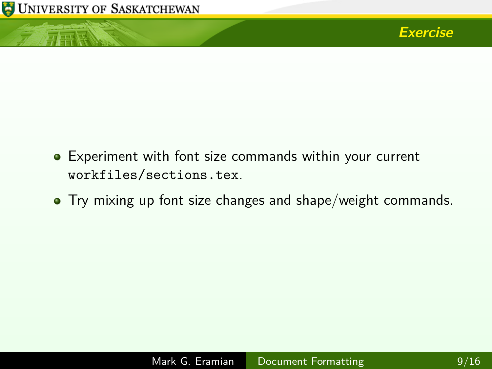

小豆豆



- Experiment with font size commands within your current workfiles/sections.tex.
- Try mixing up font size changes and shape/weight commands.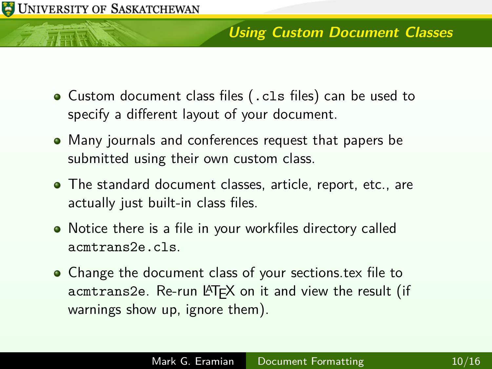#### UNIVERSITY OF SASKATCHEWAN

#### **Using Custom Document Classes**

- Custom document class files (.cls files) can be used to specify a different layout of your document.
- Many journals and conferences request that papers be submitted using their own custom class.
- The standard document classes, article, report, etc., are actually just built-in class files.
- Notice there is a file in your workfiles directory called acmtrans2e.cls.
- Change the document class of your sections tex file to acmtrans2e. Re-run LATEX on it and view the result (if warnings show up, ignore them).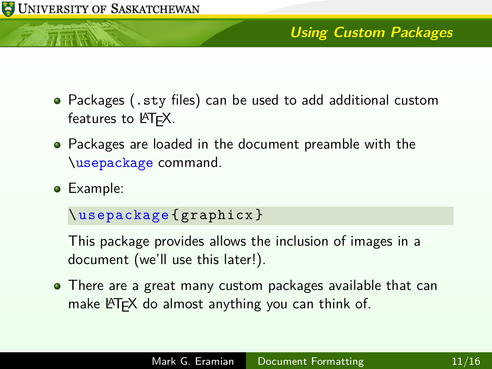

# **Using Custom Packages**

- Packages (.sty files) can be used to add additional custom features to  $\angle$ FT<sub>F</sub>X.
- Packages are loaded in the document preamble with the \usepackage command.
- Example:

```
\ usepackage { graphicx }
```
This package provides allows the inclusion of images in a document (we'll use this later!).

There are a great many custom packages available that can make LATEX do almost anything you can think of.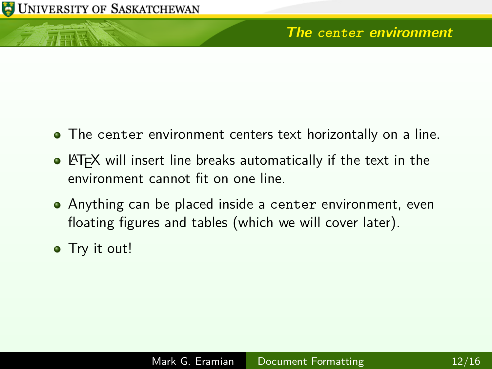TERE

- The center environment centers text horizontally on a line.
- **LATEX** will insert line breaks automatically if the text in the environment cannot fit on one line.
- Anything can be placed inside a center environment, even floating figures and tables (which we will cover later).
- Try it out!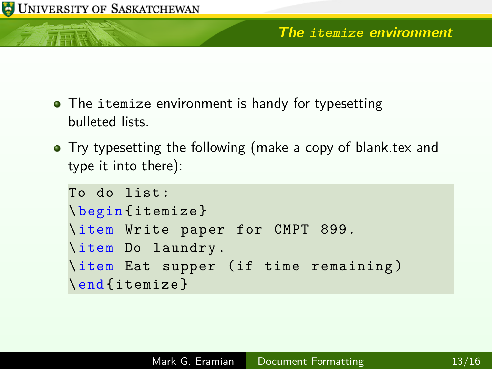- The itemize environment is handy for typesetting bulleted lists.
- Try typesetting the following (make a copy of blank.tex and type it into there):

```
To do list :
\ begin { itemize }
\ item Write paper for CMPT 899.
\ item Do laundry .
\ item Eat supper ( if time remaining )
\end{ itemize }
```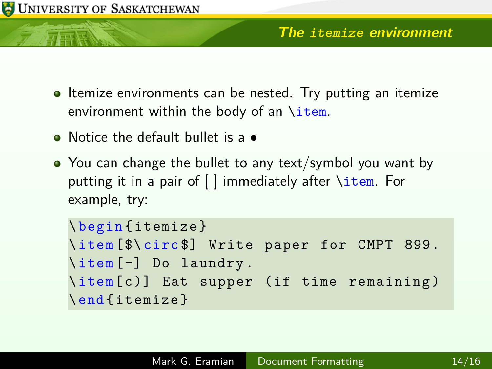- Itemize environments can be nested. Try putting an itemize environment within the body of an \item.
- Notice the default bullet is a
- You can change the bullet to any text/symbol you want by putting it in a pair of [ ] immediately after \item. For example, try:

```
\ begin { itemize }
\ item [$\ circ $] Write paper for CMPT 899.
\ item [ -] Do laundry .
\ item [ c )] Eat supper ( if time remaining )
\end{ itemize }
```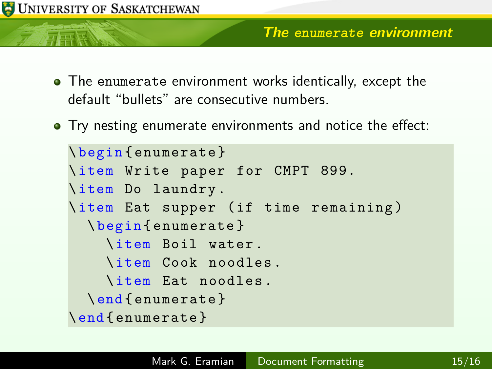- The enumerate environment works identically, except the default "bullets" are consecutive numbers.
- **•** Try nesting enumerate environments and notice the effect:

```
\ begin { enumerate }
\ item Write paper for CMPT 899.
\ item Do laundry .
\ item Eat supper ( if time remaining )
  \ begin { enumerate }
    \ item Boil water .
    \ item Cook noodles .
    \ item Eat noodles .
  \end{ enumerate }
\end{ enumerate }
```